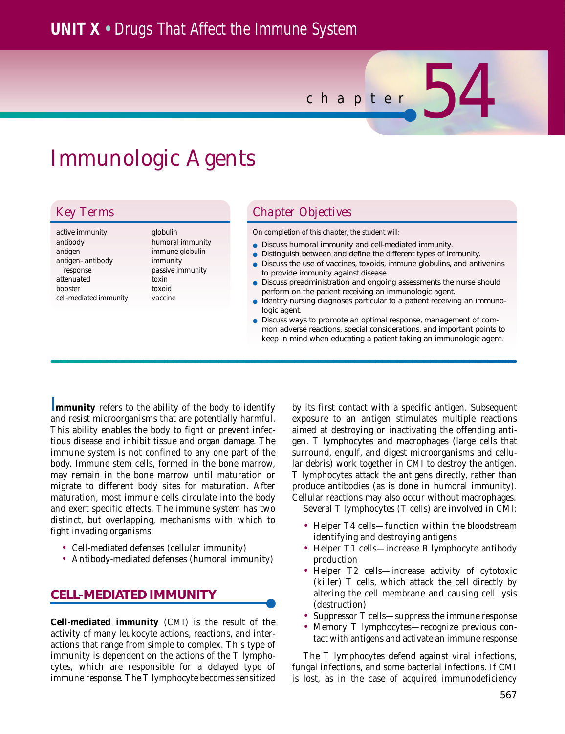## **UNIT X •** Drugs That Affect the Immune System

*chapter* 54

# Immunologic Agents

*active immunity antibody antigen antigen–antibody response attenuated booster cell-mediated immunity* *globulin humoral immunity immune globulin immunity passive immunity toxin toxoid vaccine*

## *Key Terms Chapter Objectives*

*On completion of this chapter, the student will:*

- Discuss humoral immunity and cell-mediated immunity.
- Distinguish between and define the different types of immunity.
- Discuss the use of vaccines, toxoids, immune globulins, and antivenins to provide immunity against disease.
- Discuss preadministration and ongoing assessments the nurse should perform on the patient receiving an immunologic agent.
	- Identify nursing diagnoses particular to a patient receiving an immunologic agent.
- Discuss ways to promote an optimal response, management of common adverse reactions, special considerations, and important points to keep in mind when educating a patient taking an immunologic agent.

**Immunity** refers to the ability of the body to identify and resist microorganisms that are potentially harmful. This ability enables the body to fight or prevent infectious disease and inhibit tissue and organ damage. The immune system is not confined to any one part of the body. Immune stem cells, formed in the bone marrow, may remain in the bone marrow until maturation or migrate to different body sites for maturation. After maturation, most immune cells circulate into the body and exert specific effects. The immune system has two distinct, but overlapping, mechanisms with which to fight invading organisms:

- Cell-mediated defenses (cellular immunity)
- Antibody-mediated defenses (humoral immunity)

## **CELL-MEDIATED IMMUNITY**

**Cell-mediated immunity** (CMI) is the result of the activity of many leukocyte actions, reactions, and interactions that range from simple to complex. This type of immunity is dependent on the actions of the T lymphocytes, which are responsible for a delayed type of immune response. The T lymphocyte becomes sensitized by its first contact with a specific antigen. Subsequent exposure to an antigen stimulates multiple reactions aimed at destroying or inactivating the offending antigen. T lymphocytes and macrophages (large cells that surround, engulf, and digest microorganisms and cellular debris) work together in CMI to destroy the antigen. T lymphocytes attack the antigens directly, rather than produce antibodies (as is done in humoral immunity). Cellular reactions may also occur without macrophages.

Several T lymphocytes (T cells) are involved in CMI:

- Helper T4 cells—function within the bloodstream identifying and destroying antigens
- Helper T1 cells—increase B lymphocyte antibody production
- Helper T2 cells—increase activity of cytotoxic (killer) T cells, which attack the cell directly by altering the cell membrane and causing cell lysis (destruction)
- Suppressor T cells—suppress the immune response
- Memory T lymphocytes—recognize previous contact with antigens and activate an immune response

The T lymphocytes defend against viral infections, fungal infections, and some bacterial infections. If CMI is lost, as in the case of acquired immunodeficiency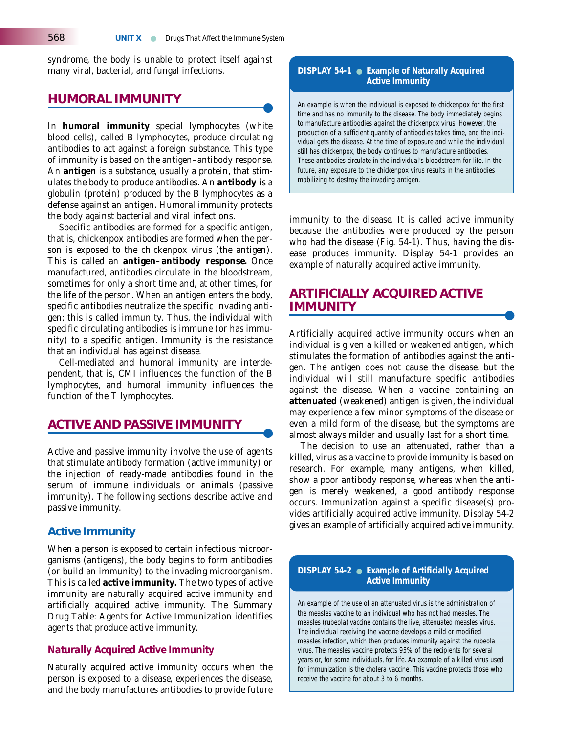syndrome, the body is unable to protect itself against many viral, bacterial, and fungal infections.

#### **HUMORAL IMMUNITY**

In **humoral immunity** special lymphocytes (white blood cells), called B lymphocytes, produce circulating antibodies to act against a foreign substance. This type of immunity is based on the antigen–antibody response. An **antigen** is a substance, usually a protein, that stimulates the body to produce antibodies. An **antibody** is a globulin (protein) produced by the B lymphocytes as a defense against an antigen. Humoral immunity protects the body against bacterial and viral infections.

Specific antibodies are formed for a specific antigen, that is, chickenpox antibodies are formed when the person is exposed to the chickenpox virus (the antigen). This is called an **antigen–antibody response.** Once manufactured, antibodies circulate in the bloodstream, sometimes for only a short time and, at other times, for the life of the person. When an antigen enters the body, specific antibodies neutralize the specific invading antigen; this is called immunity. Thus, the individual with specific circulating antibodies is immune (or has immunity) to a specific antigen. Immunity is the resistance that an individual has against disease.

Cell-mediated and humoral immunity are interdependent, that is, CMI influences the function of the B lymphocytes, and humoral immunity influences the function of the T lymphocytes.

### **ACTIVE AND PASSIVE IMMUNITY**

Active and passive immunity involve the use of agents that stimulate antibody formation (active immunity) or the injection of ready-made antibodies found in the serum of immune individuals or animals (passive immunity). The following sections describe active and passive immunity.

#### **Active Immunity**

When a person is exposed to certain infectious microorganisms (antigens), the body begins to form antibodies (or build an immunity) to the invading microorganism. This is called **active immunity.** The two types of active immunity are naturally acquired active immunity and artificially acquired active immunity. The Summary Drug Table: Agents for Active Immunization identifies agents that produce active immunity.

#### *Naturally Acquired Active Immunity*

Naturally acquired active immunity occurs when the person is exposed to a disease, experiences the disease, and the body manufactures antibodies to provide future

#### **DISPLAY 54-1** ● **Example of Naturally Acquired Active Immunity**

An example is when the individual is exposed to chickenpox for the first time and has no immunity to the disease. The body immediately begins to manufacture antibodies against the chickenpox virus. However, the production of a sufficient quantity of antibodies takes time, and the individual gets the disease. At the time of exposure and while the individual still has chickenpox, the body continues to manufacture antibodies. These antibodies circulate in the individual's bloodstream for life. In the future, any exposure to the chickenpox virus results in the antibodies mobilizing to destroy the invading antigen.

immunity to the disease. It is called active immunity because the antibodies were produced by the person who had the disease (Fig. 54-1). Thus, having the disease produces immunity. Display 54-1 provides an example of naturally acquired active immunity.

## **ARTIFICIALLY ACQUIRED ACTIVE IMMUNITY**

Artificially acquired active immunity occurs when an individual is given a killed or weakened antigen, which stimulates the formation of antibodies against the antigen. The antigen does not cause the disease, but the individual will still manufacture specific antibodies against the disease. When a vaccine containing an **attenuated** (weakened) antigen is given, the individual may experience a few minor symptoms of the disease or even a mild form of the disease, but the symptoms are almost always milder and usually last for a short time.

The decision to use an attenuated, rather than a killed, virus as a vaccine to provide immunity is based on research. For example, many antigens, when killed, show a poor antibody response, whereas when the antigen is merely weakened, a good antibody response occurs. Immunization against a specific disease(s) provides artificially acquired active immunity. Display 54-2 gives an example of artificially acquired active immunity.

#### **DISPLAY 54-2** ● **Example of Artificially Acquired Active Immunity**

An example of the use of an attenuated virus is the administration of the measles vaccine to an individual who has not had measles. The measles (rubeola) vaccine contains the live, attenuated measles virus. The individual receiving the vaccine develops a mild or modified measles infection, which then produces immunity against the rubeola virus. The measles vaccine protects 95% of the recipients for several years or, for some individuals, for life. An example of a killed virus used for immunization is the cholera vaccine. This vaccine protects those who receive the vaccine for about 3 to 6 months.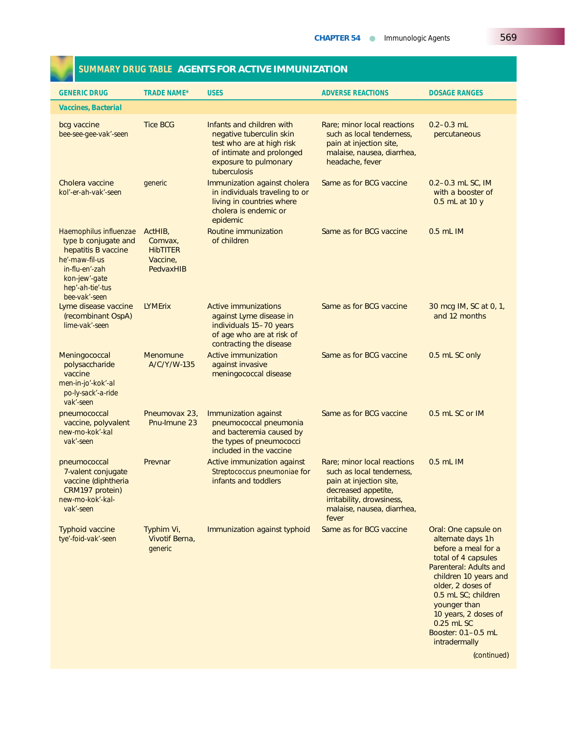#### **GENERIC DRUG** TRADE NAME\* USES ADVERSE REACTIONS DOSAGE RANGES *Vaccines, Bacterial* bcg vaccine Tice BCG Infants and children with Rare; minor local reactions 0.2–0.3 mL **bee-see-gee-vak'-seen** negative tuberculin skin such as local tenderness, percutaneous test who are at high risk pain at injection site,<br>of intimate and prolonged malaise, nausea, diarrhea, of intimate and prolonged malaise, nausea<br>exposure to pulmonary beadache, fever exposure to pulmonary tuberculosis Cholera vaccine *generic* Immunization against cholera Same as for BCG vaccine 0.2–0.3 mL SC, IM **kollectivist in individuals traveling to or with a booster of with a booster of** living in countries where 0.5 mL at 10 y cholera is endemic or epidemic *Haemophilus influenzae* ActHIB, Routine immunization Same as for BCG vaccine 0.5 mL IM<br>type b conjugate and Comvax. of children *type* b conjugate and Comvax,<br>
hepatitis B vaccine HibTITER hepatitis B vaccine HibTITER *he'-maw-fil-us in-flu-en'-zah* PedvaxHIB *kon-jew'-gate hep'-ah-tie'-tus bee*-*vak'-seen* yme disease vaccine LYMErix Active immunizations Same as for BCG vaccine 30 mcg IM, SC at 0, 1,<br>(recombinant OspA) against Lyme disease in and 12 months against Lyme disease in *lime*-*vak'*-*seen* individuals 15–70 years of age who are at risk of contracting the disease Meningococcal Menomune Active immunization Same as for BCG vaccine 0.5 mL SC only polysaccharide A/C/Y/W-135 against invasive vaccine meningococcal disease *men*-*in*-*jo'*-*kok'-al po*-*ly*-*sack'-a*-*ride vak'*-*seen* pneumococcal Pneumovax 23, Immunization against Same as for BCG vaccine 0.5 mL SC or IM vaccine, polyvalent Pnu-Imune 23 pneumococcal pneumonia *new-mo-kok'-kal* and bacteremia caused by<br>
vak'-seen and bacteremia caused by<br>
the types of pneumococci the types of pneumococci included in the vaccine pneumococcal Prevnar Active immunization against Rare; minor local reactions 0.5 mL IM 7-valent conjugate *Streptococcus pneumoniae* for such as local tenderness, vaccine (diphtheria in the streption site, infants and toddlers pain at injection site, vaccine (diphtheria infants and toddlers pain at injection site, infants and toddlers pain at injection site,  $CRM197$  protein) CRM197 protein) decreased appetite, the control of the control of the control of the control of the control of the control of the control of the control of the control of the control of the control of the control of the co *new*-*mo*-*kok'-kal*- irritability, drowsiness, *vak'-seen* malaise, nausea, diarrhea, fever Typhoid vaccine Typhim Vi, Immunization against typhoid Same as for BCG vaccine Oral: One capsule on *tye'-foid-vak'*-*seen* Vivotif Berna, alternate days 1h **generic before a meal for a** meal for a meal for a meal for a meal for a meal for a meal for a meal for a meal for a meal for a meal for a meal for a meal for a meal for a meal for a meal for a meal for a meal for a mea total of 4 capsules Parenteral: Adults and children 10 years and older, 2 doses of 0.5 mL SC; children younger than 10 years, 2 doses of 0.25 mL SC Booster: 0.1–0.5 mL

#### **SUMMARY DRUG TABLE AGENTS FOR ACTIVE IMMUNIZATION**

intradermally

(*continued*)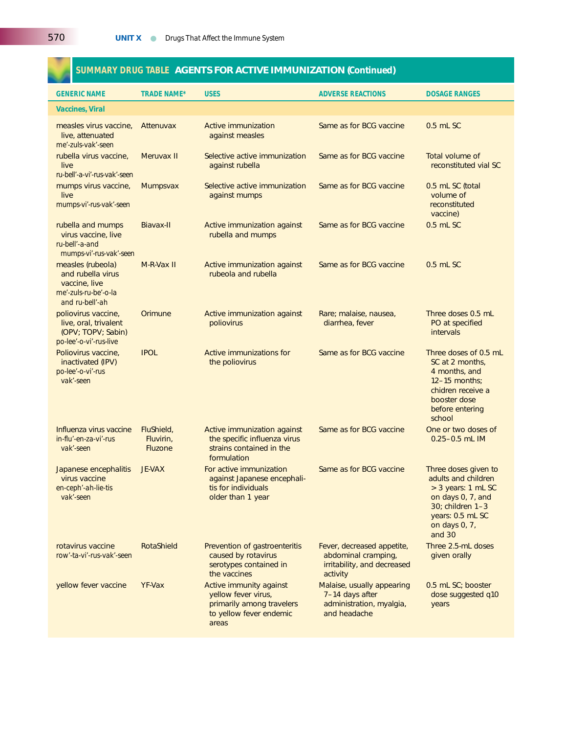## **SUMMARY DRUG TABLE AGENTS FOR ACTIVE IMMUNIZATION (***Continued***)**

| <b>GENERIC NAME</b>                                                                                | <b>TRADE NAME*</b>                        | <b>USES</b>                                                                                                                   | <b>ADVERSE REACTIONS</b>                                                                     | <b>DOSAGE RANGES</b>                                                                                                                                      |  |
|----------------------------------------------------------------------------------------------------|-------------------------------------------|-------------------------------------------------------------------------------------------------------------------------------|----------------------------------------------------------------------------------------------|-----------------------------------------------------------------------------------------------------------------------------------------------------------|--|
| <b>Vaccines, Viral</b>                                                                             |                                           |                                                                                                                               |                                                                                              |                                                                                                                                                           |  |
| measles virus vaccine,<br>live, attenuated<br>me'-zuls-vak'-seen                                   | Attenuvax                                 | Same as for BCG vaccine<br>Active immunization<br>against measles                                                             |                                                                                              | $0.5$ mL SC                                                                                                                                               |  |
| rubella virus vaccine,<br>live<br>ru-bell'-a-vi'-rus-vak'-seen                                     | Meruvax II                                | Selective active immunization<br>Same as for BCG vaccine<br>against rubella                                                   |                                                                                              | Total volume of<br>reconstituted vial SC                                                                                                                  |  |
| mumps virus vaccine,<br>live<br>mumps-vi'-rus-vak'-seen                                            | <b>Mumpsvax</b>                           | Same as for BCG vaccine<br>Selective active immunization<br>against mumps                                                     |                                                                                              | 0.5 mL SC (total<br>volume of<br>reconstituted<br>vaccine)                                                                                                |  |
| rubella and mumps<br>virus vaccine, live<br>ru-bell'-a-and<br>mumps-vi'-rus-vak'-seen              | Biavax-II                                 | Same as for BCG vaccine<br>Active immunization against<br>rubella and mumps                                                   |                                                                                              | 0.5 mL SC                                                                                                                                                 |  |
| measles (rubeola)<br>and rubella virus<br>vaccine, live<br>me'-zuls-ru-be'-o-la<br>and ru-bell'-ah | M-R-Vax II                                | Active immunization against<br>rubeola and rubella                                                                            | Same as for BCG vaccine<br>0.5 mL SC                                                         |                                                                                                                                                           |  |
| poliovirus vaccine,<br>live, oral, trivalent<br>(OPV; TOPV; Sabin)<br>po-lee'-o-vi'-rus-live       | Orimune                                   | Active immunization against<br>poliovirus                                                                                     | Rare; malaise, nausea,<br>diarrhea, fever                                                    | Three doses 0.5 mL<br>PO at specified<br>intervals                                                                                                        |  |
| Poliovirus vaccine,<br>inactivated (IPV)<br>po-lee'-o-vi'-rus<br>vak'-seen                         | <b>IPOL</b>                               | Active immunizations for<br>Same as for BCG vaccine<br>the poliovirus                                                         |                                                                                              | Three doses of 0.5 mL<br>SC at 2 months,<br>4 months, and<br>$12-15$ months;<br>chidren receive a<br>booster dose<br>before entering<br>school            |  |
| Influenza virus vaccine<br>in-flu'-en-za-vi'-rus<br>vak'-seen                                      | FluShield,<br>Fluvirin,<br><b>Fluzone</b> | Active immunization against<br>the specific influenza virus<br>strains contained in the<br>formulation                        | Same as for BCG vaccine                                                                      | One or two doses of<br>$0.25 - 0.5$ mL IM                                                                                                                 |  |
| Japanese encephalitis<br>virus vaccine<br>en-ceph'-ah-lie-tis<br>vak'-seen                         | <b>JE-VAX</b>                             | For active immunization<br>Same as for BCG vaccine<br>against Japanese encephali-<br>tis for individuals<br>older than 1 year |                                                                                              | Three doses given to<br>adults and children<br>> 3 years: 1 mL SC<br>on days 0, 7, and<br>30; children 1-3<br>years: 0.5 mL SC<br>on days 0, 7,<br>and 30 |  |
| rotavirus vaccine<br>row'-ta-vi'-rus-vak'-seen                                                     | RotaShield                                | Prevention of gastroenteritis<br>caused by rotavirus<br>serotypes contained in<br>the vaccines                                | Fever, decreased appetite,<br>abdominal cramping,<br>irritability, and decreased<br>activity | Three 2.5-mL doses<br>given orally                                                                                                                        |  |
| yellow fever vaccine                                                                               | <b>YF-Vax</b>                             | Active immunity against<br>yellow fever virus,<br>primarily among travelers<br>to yellow fever endemic<br>areas               | Malaise, usually appearing<br>7-14 days after<br>administration, myalgia,<br>and headache    | 0.5 mL SC; booster<br>dose suggested q10<br>years                                                                                                         |  |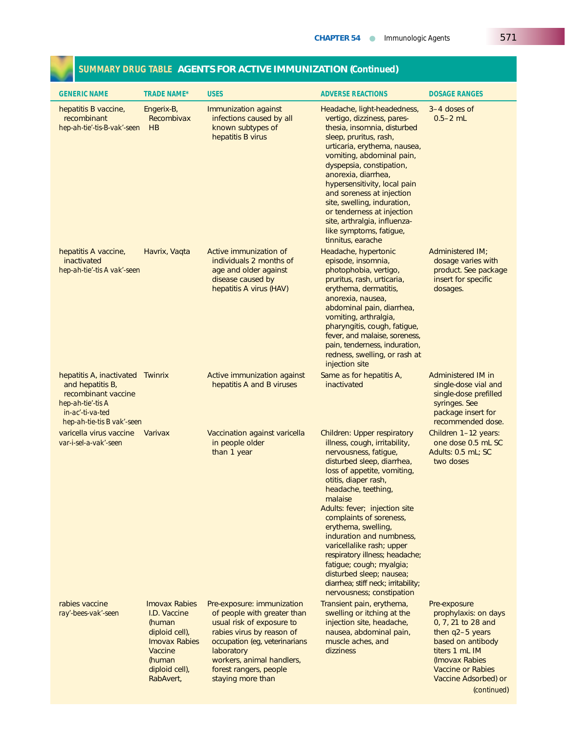| <b>GENERIC NAME</b>                                                                                                                                | <b>TRADE NAME*</b>                                                                                                                           | <b>USES</b>                                                                                                                                                                                                                                    | <b>ADVERSE REACTIONS</b>                                                                                                                                                                                                                                                                                                                                                                                                                                                                                                      | <b>DOSAGE RANGES</b>                                                                                                                                                                       |
|----------------------------------------------------------------------------------------------------------------------------------------------------|----------------------------------------------------------------------------------------------------------------------------------------------|------------------------------------------------------------------------------------------------------------------------------------------------------------------------------------------------------------------------------------------------|-------------------------------------------------------------------------------------------------------------------------------------------------------------------------------------------------------------------------------------------------------------------------------------------------------------------------------------------------------------------------------------------------------------------------------------------------------------------------------------------------------------------------------|--------------------------------------------------------------------------------------------------------------------------------------------------------------------------------------------|
| hepatitis B vaccine,<br>recombinant<br>hep-ah-tie'-tis-B-vak'-seen                                                                                 | Engerix-B,<br>Recombivax<br>HB                                                                                                               | Immunization against<br>infections caused by all<br>known subtypes of<br>hepatitis B virus                                                                                                                                                     | Headache, light-headedness,<br>vertigo, dizziness, pares-<br>thesia, insomnia, disturbed<br>sleep, pruritus, rash,<br>urticaria, erythema, nausea,<br>vomiting, abdominal pain,<br>dyspepsia, constipation,<br>anorexia, diarrhea,<br>hypersensitivity, local pain<br>and soreness at injection<br>site, swelling, induration,<br>or tenderness at injection<br>site, arthralgia, influenza-<br>like symptoms, fatigue,<br>tinnitus, earache                                                                                  | 3–4 doses of<br>$0.5 - 2$ mL                                                                                                                                                               |
| hepatitis A vaccine,<br>inactivated<br>hep-ah-tie'-tis A vak'-seen                                                                                 | Havrix, Vaqta                                                                                                                                | Active immunization of<br>individuals 2 months of<br>age and older against<br>disease caused by<br>hepatitis A virus (HAV)                                                                                                                     | Headache, hypertonic<br>episode, insomnia,<br>photophobia, vertigo,<br>pruritus, rash, urticaria,<br>erythema, dermatitis,<br>anorexia, nausea,<br>abdominal pain, diarrhea,<br>vomiting, arthralgia,<br>pharyngitis, cough, fatigue,<br>fever, and malaise, soreness,<br>pain, tenderness, induration,<br>redness, swelling, or rash at<br>injection site                                                                                                                                                                    | Administered IM;<br>dosage varies with<br>product. See package<br>insert for specific<br>dosages.                                                                                          |
| hepatitis A, inactivated Twinrix<br>and hepatitis B,<br>recombinant vaccine<br>hep-ah-tie'-tis A<br>in-ac'-ti-va-ted<br>hep-ah-tie-tis B vak'-seen |                                                                                                                                              | Active immunization against<br>hepatitis A and B viruses                                                                                                                                                                                       | Same as for hepatitis A,<br>inactivated                                                                                                                                                                                                                                                                                                                                                                                                                                                                                       | Administered IM in<br>single-dose vial and<br>single-dose prefilled<br>syringes. See<br>package insert for<br>recommended dose.                                                            |
| varicella virus vaccine<br>var-i-sel-a-vak'-seen                                                                                                   | Varivax                                                                                                                                      | Vaccination against varicella<br>in people older<br>than 1 year                                                                                                                                                                                | <b>Children: Upper respiratory</b><br>illness, cough, irritability,<br>nervousness, fatique,<br>disturbed sleep, diarrhea,<br>loss of appetite, vomiting,<br>otitis, diaper rash,<br>headache, teething,<br>malaise<br>Adults: fever; injection site<br>complaints of soreness,<br>erythema, swelling,<br>induration and numbness,<br>varicellalike rash; upper<br>respiratory illness; headache;<br>fatique; cough; myalgia;<br>disturbed sleep; nausea;<br>diarrhea; stiff neck; irritability;<br>nervousness; constipation | Children 1-12 years:<br>one dose 0.5 mL SC<br>Adults: 0.5 mL; SC<br>two doses                                                                                                              |
| rabies vaccine<br>ray'-bees-vak'-seen                                                                                                              | <b>Imovax Rabies</b><br>I.D. Vaccine<br>(human<br>diploid cell),<br><b>Imovax Rabies</b><br>Vaccine<br>(human<br>diploid cell),<br>RabAvert, | Pre-exposure: immunization<br>of people with greater than<br>usual risk of exposure to<br>rabies virus by reason of<br>occupation (eg, veterinarians<br>laboratory<br>workers, animal handlers,<br>forest rangers, people<br>staying more than | Transient pain, erythema,<br>swelling or itching at the<br>injection site, headache,<br>nausea, abdominal pain,<br>muscle aches, and<br>dizziness                                                                                                                                                                                                                                                                                                                                                                             | Pre-exposure<br>prophylaxis: on days<br>0, 7, 21 to 28 and<br>then q2-5 years<br>based on antibody<br>titers 1 mL IM<br>(Imovax Rabies<br><b>Vaccine or Rabies</b><br>Vaccine Adsorbed) or |

## **SUMMARY DRUG TABLE AGENTS FOR ACTIVE IMMUNIZATION (***Continued***)**

(*continued*)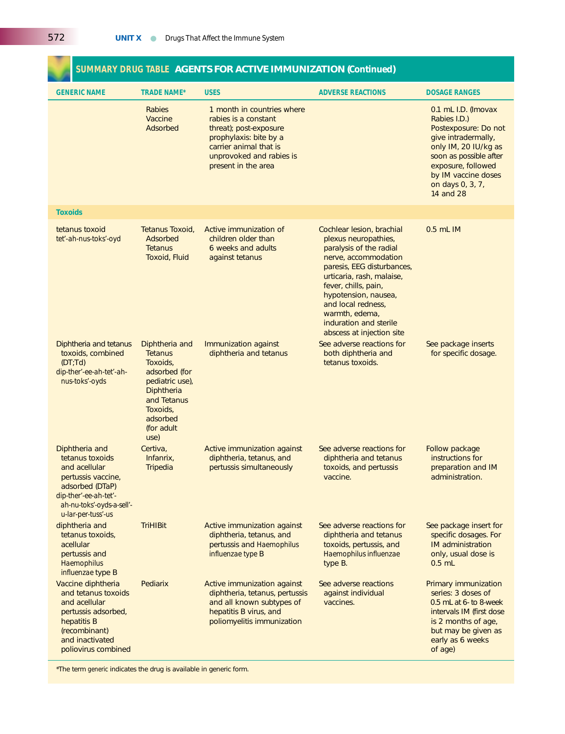| <b>GENERIC NAME</b>                                                                                                                                                     | <b>TRADE NAME*</b>                                                                                                                                          | <b>USES</b>                                                                                                                                                                         | <b>ADVERSE REACTIONS</b>                                                                                                                                                                                                                                                                                       | <b>DOSAGE RANGES</b>                                                                                                                                                                                               |
|-------------------------------------------------------------------------------------------------------------------------------------------------------------------------|-------------------------------------------------------------------------------------------------------------------------------------------------------------|-------------------------------------------------------------------------------------------------------------------------------------------------------------------------------------|----------------------------------------------------------------------------------------------------------------------------------------------------------------------------------------------------------------------------------------------------------------------------------------------------------------|--------------------------------------------------------------------------------------------------------------------------------------------------------------------------------------------------------------------|
|                                                                                                                                                                         | <b>Rabies</b><br>Vaccine<br>Adsorbed                                                                                                                        | 1 month in countries where<br>rabies is a constant<br>threat); post-exposure<br>prophylaxis: bite by a<br>carrier animal that is<br>unprovoked and rabies is<br>present in the area |                                                                                                                                                                                                                                                                                                                | 0.1 mL I.D. (Imovax<br>Rabies I.D.)<br>Postexposure: Do not<br>give intradermally,<br>only IM, 20 IU/kg as<br>soon as possible after<br>exposure, followed<br>by IM vaccine doses<br>on days 0, 3, 7,<br>14 and 28 |
| <b>Toxoids</b>                                                                                                                                                          |                                                                                                                                                             |                                                                                                                                                                                     |                                                                                                                                                                                                                                                                                                                |                                                                                                                                                                                                                    |
| tetanus toxoid<br>tet'-ah-nus-toks'-oyd                                                                                                                                 | Tetanus Toxoid,<br>Adsorbed<br><b>Tetanus</b><br><b>Toxoid, Fluid</b>                                                                                       | Active immunization of<br>children older than<br>6 weeks and adults<br>against tetanus                                                                                              | Cochlear lesion, brachial<br>plexus neuropathies,<br>paralysis of the radial<br>nerve, accommodation<br>paresis, EEG disturbances,<br>urticaria, rash, malaise,<br>fever, chills, pain,<br>hypotension, nausea,<br>and local redness,<br>warmth, edema,<br>induration and sterile<br>abscess at injection site | $0.5$ mL $IM$                                                                                                                                                                                                      |
| Diphtheria and tetanus<br>toxoids, combined<br>(DT; Td)<br>dip-ther'-ee-ah-tet'-ah-<br>nus-toks'-oyds                                                                   | Diphtheria and<br><b>Tetanus</b><br>Toxoids,<br>adsorbed (for<br>pediatric use),<br>Diphtheria<br>and Tetanus<br>Toxoids,<br>adsorbed<br>(for adult<br>use) | Immunization against<br>diphtheria and tetanus                                                                                                                                      | See adverse reactions for<br>both diphtheria and<br>tetanus toxoids.                                                                                                                                                                                                                                           | See package inserts<br>for specific dosage.                                                                                                                                                                        |
| Diphtheria and<br>tetanus toxoids<br>and acellular<br>pertussis vaccine,<br>adsorbed (DTaP)<br>dip-ther'-ee-ah-tet'-<br>ah-nu-toks'-oyds-a-sell'-<br>u-lar-per-tuss'-us | Certiva,<br>Infanrix,<br>Tripedia                                                                                                                           | Active immunization against<br>diphtheria, tetanus, and<br>pertussis simultaneously                                                                                                 | See adverse reactions for<br>diphtheria and tetanus<br>toxoids, and pertussis<br>vaccine.                                                                                                                                                                                                                      | Follow package<br>instructions for<br>preparation and IM<br>administration.                                                                                                                                        |
| diphtheria and<br>tetanus toxoids,<br>acellular<br>pertussis and<br>Haemophilus<br>influenzae type B                                                                    | <b>TriHIBit</b>                                                                                                                                             | Active immunization against<br>diphtheria, tetanus, and<br>pertussis and Haemophilus<br>influenzae type B                                                                           | See adverse reactions for<br>diphtheria and tetanus<br>toxoids, pertussis, and<br>Haemophilus influenzae<br>type B.                                                                                                                                                                                            | See package insert for<br>specific dosages. For<br><b>IM</b> administration<br>only, usual dose is<br>$0.5$ mL                                                                                                     |
| Vaccine diphtheria<br>and tetanus toxoids<br>and acellular<br>pertussis adsorbed,<br>hepatitis B<br>(recombinant)<br>and inactivated<br>poliovirus combined             | Pediarix                                                                                                                                                    | Active immunization against<br>diphtheria, tetanus, pertussis<br>and all known subtypes of<br>hepatitis B virus, and<br>poliomyelitis immunization                                  | See adverse reactions<br>against individual<br>vaccines.                                                                                                                                                                                                                                                       | Primary immunization<br>series: 3 doses of<br>0.5 mL at 6- to 8-week<br>intervals IM (first dose<br>is 2 months of age,<br>but may be given as<br>early as 6 weeks<br>of age)                                      |

## **SUMMARY DRUG TABLE AGENTS FOR ACTIVE IMMUNIZATION (***Continued***)**

\*The term *generic* indicates the drug is available in generic form.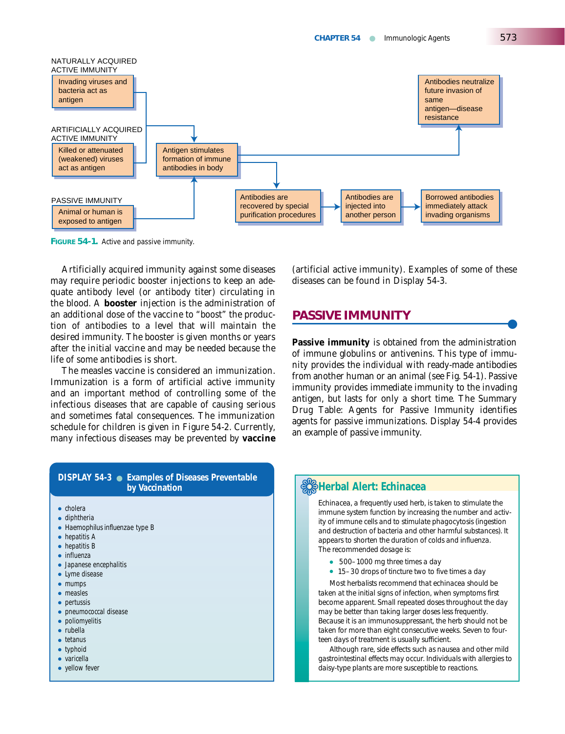

**FIGURE 54-1.** Active and passive immunity.

Artificially acquired immunity against some diseases may require periodic booster injections to keep an adequate antibody level (or antibody titer) circulating in the blood. A **booster** injection is the administration of an additional dose of the vaccine to "boost" the production of antibodies to a level that will maintain the desired immunity. The booster is given months or years after the initial vaccine and may be needed because the life of some antibodies is short.

The measles vaccine is considered an immunization. Immunization is a form of artificial active immunity and an important method of controlling some of the infectious diseases that are capable of causing serious and sometimes fatal consequences. The immunization schedule for children is given in Figure 54-2. Currently, many infectious diseases may be prevented by **vaccine**

(artificial active immunity). Examples of some of these diseases can be found in Display 54-3.

## **PASSIVE IMMUNITY**

**Passive immunity** is obtained from the administration of immune globulins or antivenins. This type of immunity provides the individual with ready-made antibodies from another human or an animal (see Fig. 54-1). Passive immunity provides immediate immunity to the invading antigen, but lasts for only a short time. The Summary Drug Table: Agents for Passive Immunity identifies agents for passive immunizations. Display 54-4 provides an example of passive immunity.

#### **DISPLAY 54-3** ● **Examples of Diseases Preventable by Vaccination by Vaccination**

- cholera
- diphtheria
- *Haemophilus influenzae* type B
- hepatitis A
- hepatitis B
- influenza
- Japanese encephalitis
- Lyme disease
- mumps ● measles
- pertussis
- pneumococcal disease
- poliomyelitis
- rubella
- tetanus
- typhoid
- varicella
- yellow fever

*Echinacea, a frequently used herb, is taken to stimulate the immune system function by increasing the number and activity of immune cells and to stimulate phagocytosis (ingestion and destruction of bacteria and other harmful substances). It appears to shorten the duration of colds and influenza. The recommended dosage is:*

- *500–1000 mg three times a day*
- *15–30 drops of tincture two to five times a day*

*Most herbalists recommend that echinacea should be taken at the initial signs of infection, when symptoms first become apparent. Small repeated doses throughout the day may be better than taking larger doses less frequently. Because it is an immunosuppressant, the herb should not be taken for more than eight consecutive weeks. Seven to fourteen days of treatment is usually sufficient.* 

*Although rare, side effects such as nausea and other mild gastrointestinal effects may occur. Individuals with allergies to daisy-type plants are more susceptible to reactions.*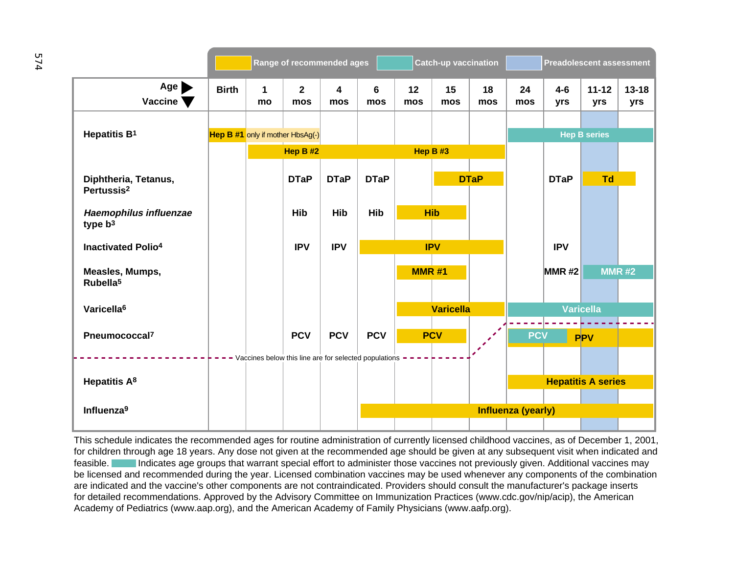|                                                   |              |                   | Range of recommended ages                               |             |             |              | Catch-up vaccination |             |                    | <b>Preadolescent assessment</b> |                           |                  |
|---------------------------------------------------|--------------|-------------------|---------------------------------------------------------|-------------|-------------|--------------|----------------------|-------------|--------------------|---------------------------------|---------------------------|------------------|
| $Age \rightarrow$<br>Vaccine $\blacktriangledown$ | <b>Birth</b> | $\mathbf 1$<br>mo | $\overline{2}$<br>mos                                   | 4<br>mos    | 6<br>mos    | 12<br>mos    | 15<br>mos            | 18<br>mos   | 24<br>mos          | $4-6$<br>yrs                    | $11 - 12$<br>yrs          | $13 - 18$<br>yrs |
| Hepatitis B <sup>1</sup>                          |              |                   | <b>Hep B #1</b> only if mother HbsAg(-)                 |             |             |              |                      |             |                    |                                 | <b>Hep B series</b>       |                  |
|                                                   |              |                   | Hep B #2                                                |             |             | Hep B#3      |                      |             |                    |                                 |                           |                  |
| Diphtheria, Tetanus,<br>Pertussis <sup>2</sup>    |              |                   | <b>DTaP</b>                                             | <b>DTaP</b> | <b>DTaP</b> |              |                      | <b>DTaP</b> |                    | <b>DTaP</b>                     | <b>Td</b>                 |                  |
| Haemophilus influenzae<br>type $b^3$              |              |                   | Hib                                                     | Hib         | Hib         | <b>Hib</b>   |                      |             |                    |                                 |                           |                  |
| <b>Inactivated Polio4</b>                         |              |                   | <b>IPV</b>                                              | <b>IPV</b>  |             |              | <b>IPV</b>           |             |                    | <b>IPV</b>                      |                           |                  |
| Measles, Mumps,<br>Rubella <sup>5</sup>           |              |                   |                                                         |             |             | <b>MMR#1</b> |                      |             |                    | $MNR$ #2                        | <b>MMR#2</b>              |                  |
| Varicella <sup>6</sup>                            |              |                   |                                                         |             |             |              | <b>Varicella</b>     |             |                    |                                 | <b>Varicella</b>          |                  |
| Pneumococcal <sup>7</sup>                         |              |                   | <b>PCV</b>                                              | <b>PCV</b>  | <b>PCV</b>  |              | <b>PCV</b>           |             | <b>PCV</b>         |                                 | <b>PPV</b>                |                  |
| Hepatitis A <sup>8</sup>                          |              |                   | - Vaccines below this line are for selected populations |             |             |              |                      |             |                    |                                 | <b>Hepatitis A series</b> |                  |
| Influenza <sup>9</sup>                            |              |                   |                                                         |             |             |              |                      |             | Influenza (yearly) |                                 |                           |                  |

This schedule indicates the recommended ages for routine administration of currently licensed childhood vaccines, as of December 1, 2001, for children through age 18 years. Any dose not given at the recommended age should be given at any subsequent visit when indicated and feasible. Indicates age groups that warrant special effort to administer those vaccines not previously given. Additional vaccines may be licensed and recommended during the year. Licensed combination vaccines may be used whenever any components of the combination are indicated and the vaccine's other components are not contraindicated. Providers should consult the manufacturer's package inserts for detailed recommendations. Approved by the Advisory Committee on Immunization Practices (www.cdc.gov/nip/acip), the American Academy of Pediatrics (www.aap.org), and the American Academy of Family Physicians (www.aafp.org).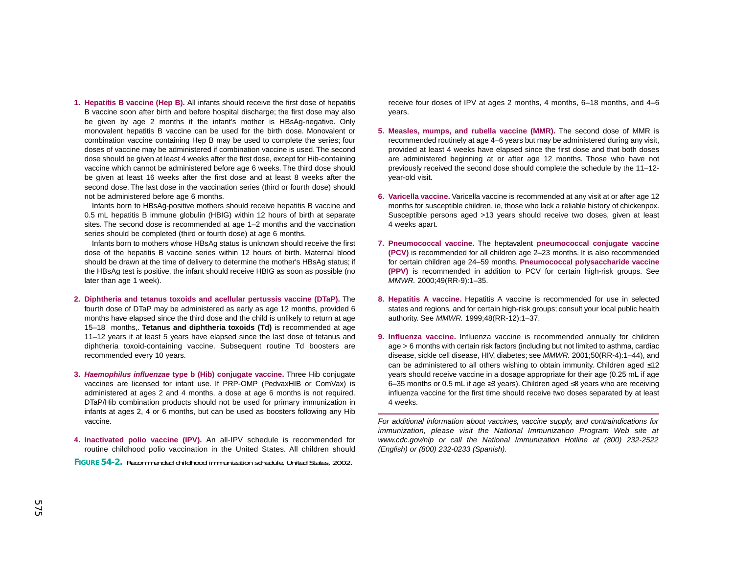**1. Hepatitis B vaccine (Hep B).** All infants should receive the first dose of hepatitis B vaccine soon after birth and before hospital discharge; the first dose may also be given by age 2 months if the infant's mother is HBsAg-negative. Only monovalent hepatitis B vaccine can be used for the birth dose. Monovalent or combination vaccine containing Hep B may be used to complete the series; four doses of vaccine may be administered if combination vaccine is used. The second dose should be given at least 4 weeks after the first dose, except for Hib-containing vaccine which cannot be administered before age 6 weeks. The third dose should be given at least 16 weeks after the first dose and at least 8 weeks after the second dose. The last dose in the vaccination series (third or fourth dose) should not be administered before age 6 months.

Infants born to HBsAg-positive mothers should receive hepatitis B vaccine and 0.5 mL hepatitis B immune globulin (HBIG) within 12 hours of birth at separate sites. The second dose is recommended at age 1–2 months and the vaccination series should be completed (third or fourth dose) at age 6 months.

Infants born to mothers whose HBsAg status is unknown should receive the first dose of the hepatitis B vaccine series within 12 hours of birth. Maternal blood should be drawn at the time of delivery to determine the mother's HBsAg status; if the HBsAg test is positive, the infant should receive HBIG as soon as possible (no later than age 1 week).

- **2. Diphtheria and tetanus toxoids and acellular pertussis vaccine (DTaP).** The fourth dose of DTaP may be administered as early as age 12 months, provided 6 months have elapsed since the third dose and the child is unlikely to return at age 15–18 months,. **Tetanus and diphtheria toxoids (Td)** is recommended at age 11–12 years if at least 5 years have elapsed since the last dose of tetanus and diphtheria toxoid-containing vaccine. Subsequent routine Td boosters are recommended every 10 years.
- **3. Haemophilus influenzae type b (Hib) conjugate vaccine.** Three Hib conjugate vaccines are licensed for infant use. If PRP-OMP (PedvaxHIB or ComVax) is administered at ages 2 and 4 months, a dose at age 6 months is not required. DTaP/Hib combination products should not be used for primary immunization in infants at ages 2, 4 or 6 months, but can be used as boosters following any Hib vaccine.
- **4. Inactivated polio vaccine (IPV).** An all-IPV schedule is recommended for routine childhood polio vaccination in the United States. All children should

**FIGURE 54-2.** Recommended childhood immunization schedule, United States, 2002.

receive four doses of IPV at ages 2 months, 4 months, 6–18 months, and 4–6 years.

- **5. Measles, mumps, and rubella vaccine (MMR).** The second dose of MMR is recommended routinely at age 4–6 years but may be administered during any visit, provided at least 4 weeks have elapsed since the first dose and that both doses are administered beginning at or after age 12 months. Those who have not previously received the second dose should complete the schedule by the 11–12 year-old visit.
- **6. Varicella vaccine.** Varicella vaccine is recommended at any visit at or after age 12 months for susceptible children, ie, those who lack a reliable history of chickenpox. Susceptible persons aged >13 years should receive two doses, given at least 4 weeks apart.
- **7. Pneumococcal vaccine.** The heptavalent **pneumococcal conjugate vaccine (PCV)** is recommended for all children age 2–23 months. It is also recommended for certain children age 24–59 months. **Pneumococcal polysaccharide vaccine (PPV)** is recommended in addition to PCV for certain high-risk groups. See MMWR. 2000;49(RR-9):1–35.
- **8. Hepatitis A vaccine.** Hepatitis A vaccine is recommended for use in selected states and regions, and for certain high-risk groups; consult your local public health authority. See MMWR. 1999;48(RR-12):1–37.
- **9. Influenza vaccine.** Influenza vaccine is recommended annually for children age > 6 months with certain risk factors (including but not limited to asthma, cardiac disease, sickle cell disease, HIV, diabetes; see MMWR. 2001;50(RR-4):1–44), and can be administered to all others wishing to obtain immunity. Children aged ≤12 years should receive vaccine in a dosage appropriate for their age (0.25 mL if age 6–35 months or 0.5 mL if age ≥3 years). Children aged ≤8 years who are receiving influenza vaccine for the first time should receive two doses separated by at least 4 weeks.

For additional information about vaccines, vaccine supply, and contraindications for immunization, please visit the National Immunization Program Web site at www.cdc.gov/nip or call the National Immunization Hotline at (800) 232-2522 (English) or (800) 232-0233 (Spanish).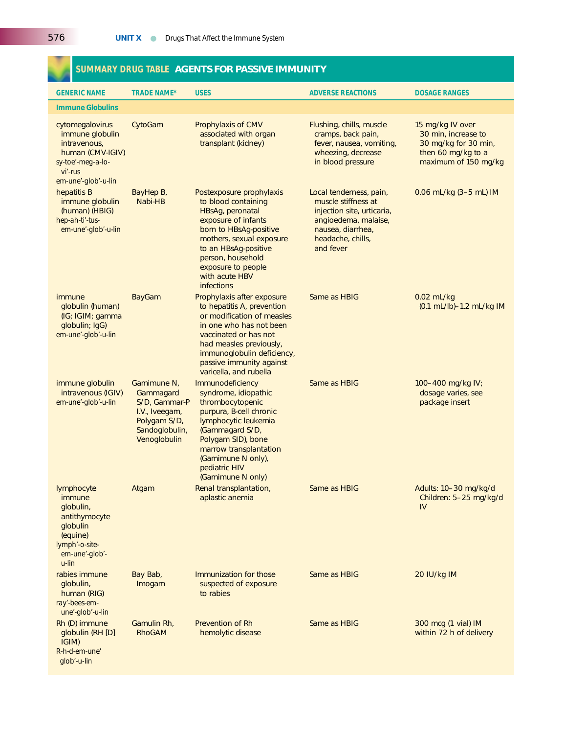## **SUMMARY DRUG TABLE AGENTS FOR PASSIVE IMMUNITY**

| <b>GENERIC NAME</b>                                                                                                           | <b>TRADE NAME*</b>                                                                                            | <b>USES</b>                                                                                                                                                                                                                                                | <b>ADVERSE REACTIONS</b>                                                                                                                                    |                                                                                                               |
|-------------------------------------------------------------------------------------------------------------------------------|---------------------------------------------------------------------------------------------------------------|------------------------------------------------------------------------------------------------------------------------------------------------------------------------------------------------------------------------------------------------------------|-------------------------------------------------------------------------------------------------------------------------------------------------------------|---------------------------------------------------------------------------------------------------------------|
| <b>Immune Globulins</b>                                                                                                       |                                                                                                               |                                                                                                                                                                                                                                                            |                                                                                                                                                             |                                                                                                               |
| cytomegalovirus<br>immune globulin<br>intravenous,<br>human (CMV-IGIV)<br>sy-toe'-meg-a-lo-<br>vi'-rus<br>em-une'-glob'-u-lin | CytoGam                                                                                                       | Prophylaxis of CMV<br>associated with organ<br>transplant (kidney)                                                                                                                                                                                         | Flushing, chills, muscle<br>cramps, back pain,<br>fever, nausea, vomiting,<br>wheezing, decrease<br>in blood pressure                                       | 15 mg/kg IV over<br>30 min, increase to<br>30 mg/kg for 30 min,<br>then 60 mg/kg to a<br>maximum of 150 mg/kg |
| hepatitis B<br>immune globulin<br>(human) (HBIG)<br>hep-ah-ti'-tus-<br>em-une'-glob'-u-lin                                    | BayHep B,<br>Nabi-HB                                                                                          | Postexposure prophylaxis<br>to blood containing<br>HBsAg, peronatal<br>exposure of infants<br>born to HBsAg-positive<br>mothers, sexual exposure<br>to an HBsAg-positive<br>person, household<br>exposure to people<br>with acute HBV<br><b>infections</b> | Local tenderness, pain,<br>muscle stiffness at<br>injection site, urticaria,<br>angioedema, malaise,<br>nausea, diarrhea,<br>headache, chills,<br>and fever | 0.06 mL/kg $(3-5$ mL) IM                                                                                      |
| immune<br>globulin (human)<br>(IG; IGIM; gamma<br>globulin; IgG)<br>em-une'-glob'-u-lin                                       | <b>BayGam</b>                                                                                                 | Prophylaxis after exposure<br>to hepatitis A, prevention<br>or modification of measles<br>in one who has not been<br>vaccinated or has not<br>had measles previously,<br>immunoglobulin deficiency,<br>passive immunity against<br>varicella, and rubella  | Same as HBIG                                                                                                                                                | $0.02$ mL/kg<br>(0.1 mL/lb)-1.2 mL/kg IM                                                                      |
| immune globulin<br>intravenous (IGIV)<br>em-une'-glob'-u-lin                                                                  | Gamimune N,<br>Gammagard<br>S/D, Gammar-P<br>I.V., Iveegam,<br>Polygam S/D,<br>Sandoglobulin,<br>Venoglobulin | <b>Immunodeficiency</b><br>syndrome, idiopathic<br>thrombocytopenic<br>purpura, B-cell chronic<br>lymphocytic leukemia<br>(Gammagard S/D,<br>Polygam SID), bone<br>marrow transplantation<br>(Gamimune N only),<br>pediatric HIV<br>(Gamimune N only)      | Same as HBIG                                                                                                                                                | 100-400 mg/kg IV;<br>dosage varies, see<br>package insert                                                     |
| lymphocyte<br>immune<br>globulin,<br>antithymocyte<br>globulin<br>(equine)<br>lymph'-o-site-<br>em-une'-glob'-<br>$u$ -lin    | Atgam                                                                                                         | Renal transplantation,<br>aplastic anemia                                                                                                                                                                                                                  | Same as HBIG                                                                                                                                                | Adults: 10-30 mg/kg/d<br>Children: 5-25 mg/kg/d<br>IV                                                         |
| rabies immune<br>globulin,<br>human (RIG)<br>ray'-bees-em-<br>une'-glob'-u-lin                                                | Bay Bab,<br>Imogam                                                                                            | Immunization for those<br>suspected of exposure<br>to rabies                                                                                                                                                                                               | Same as HBIG                                                                                                                                                | 20 IU/kg IM                                                                                                   |
| Rh (D) immune<br>globulin (RH [D]<br>IGIM)<br>$R-h-d$ -em-une'<br>glob'-u-lin                                                 | Gamulin Rh,<br><b>RhoGAM</b>                                                                                  | <b>Prevention of Rh</b><br>hemolytic disease                                                                                                                                                                                                               | Same as HBIG                                                                                                                                                | 300 mcg (1 vial) IM<br>within 72 h of delivery                                                                |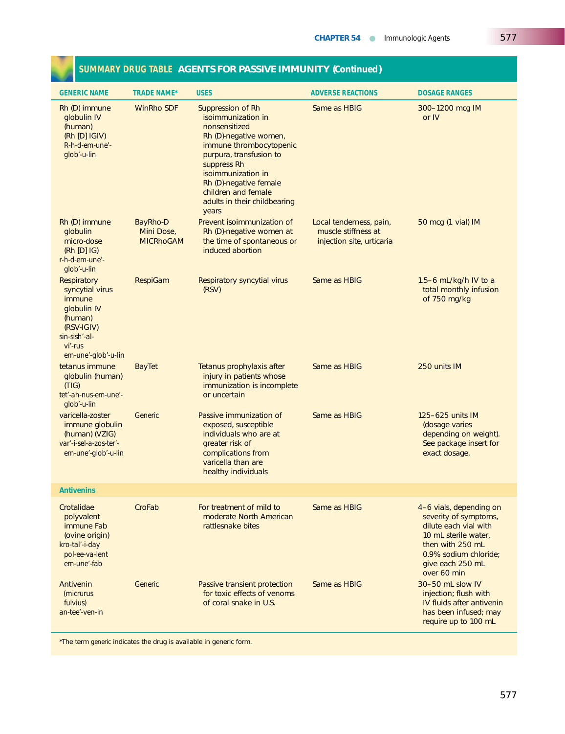| <b>GENERIC NAME</b>                                                                                                                      | <b>TRADE NAME*</b>                                | <b>USES</b>                                                                                                                                                                                                                                                             | <b>ADVERSE REACTIONS</b>                                                                          | <b>DOSAGE RANGES</b>                                                                                                                                                              |
|------------------------------------------------------------------------------------------------------------------------------------------|---------------------------------------------------|-------------------------------------------------------------------------------------------------------------------------------------------------------------------------------------------------------------------------------------------------------------------------|---------------------------------------------------------------------------------------------------|-----------------------------------------------------------------------------------------------------------------------------------------------------------------------------------|
| Rh (D) immune<br>globulin IV<br>(human)<br>(Rh [D]  G V)<br>R-h-d-em-une'-<br>glob'-u-lin                                                | <b>WinRho SDF</b>                                 | Suppression of Rh<br>isoimmunization in<br>nonsensitized<br>Rh (D)-negative women,<br>immune thrombocytopenic<br>purpura, transfusion to<br>suppress Rh<br>isoimmunization in<br>Rh (D)-negative female<br>children and female<br>adults in their childbearing<br>years | Same as HBIG                                                                                      | 300-1200 mcg IM<br>or IV                                                                                                                                                          |
| Rh (D) immune<br>globulin<br>micro-dose<br>$(Rh [D]$ $ G $<br>$r-h-d$ -em-une'-<br>glob'-u-lin                                           | <b>BayRho-D</b><br>Mini Dose,<br><b>MICRHOGAM</b> | Prevent isoimmunization of<br>Rh (D)-negative women at<br>the time of spontaneous or<br>induced abortion                                                                                                                                                                | Local tenderness, pain,<br>50 mcg (1 vial) IM<br>muscle stiffness at<br>injection site, urticaria |                                                                                                                                                                                   |
| Respiratory<br>syncytial virus<br>immune<br>globulin IV<br>(human)<br>(RSV-IGIV)<br>$sin-sish'-al-$<br>$Vi'$ -rus<br>em-une'-glob'-u-lin | <b>RespiGam</b>                                   | <b>Respiratory syncytial virus</b><br>(RSV)                                                                                                                                                                                                                             | Same as HBIG                                                                                      | 1.5-6 mL/kg/h IV to a<br>total monthly infusion<br>of 750 mg/kg                                                                                                                   |
| tetanus immune<br>globulin (human)<br>(TIG)<br>tet'-ah-nus-em-une'-<br>glob'-u-lin                                                       | <b>BayTet</b>                                     | Tetanus prophylaxis after<br>injury in patients whose<br>immunization is incomplete<br>or uncertain                                                                                                                                                                     | Same as HBIG                                                                                      | 250 units IM                                                                                                                                                                      |
| varicella-zoster<br>immune globulin<br>(human) (VZIG)<br>var'-i-sel-a-zos-ter'-<br>em-une'-glob'-u-lin                                   | Generic                                           | Passive immunization of<br>exposed, susceptible<br>individuals who are at<br>greater risk of<br>complications from<br>varicella than are<br>healthy individuals                                                                                                         | Same as HBIG                                                                                      | 125-625 units IM<br>(dosage varies<br>depending on weight).<br>See package insert for<br>exact dosage.                                                                            |
| <b>Antivenins</b>                                                                                                                        |                                                   |                                                                                                                                                                                                                                                                         |                                                                                                   |                                                                                                                                                                                   |
| Crotalidae<br>polyvalent<br>immune Fab<br>(ovine origin)<br>kro-tal'-i-day<br>pol-ee-va-lent<br>em-une'-fab                              | CroFab                                            | For treatment of mild to<br>moderate North American<br>rattlesnake bites                                                                                                                                                                                                | Same as HBIG                                                                                      | 4-6 vials, depending on<br>severity of symptoms,<br>dilute each vial with<br>10 mL sterile water,<br>then with 250 mL<br>0.9% sodium chloride;<br>give each 250 mL<br>over 60 min |
| Antivenin<br><i>(micrurus</i><br>fulvius)<br>an-tee'-ven-in                                                                              | Generic                                           | Passive transient protection<br>for toxic effects of venoms<br>of coral snake in U.S.                                                                                                                                                                                   | Same as HBIG                                                                                      | 30-50 mL slow IV<br>injection; flush with<br>IV fluids after antivenin<br>has been infused; may<br>require up to 100 mL                                                           |

## **SUMMARY DRUG TABLE AGENTS FOR PASSIVE IMMUNITY (***Continued***)**

\*The term *generic* indicates the drug is available in generic form.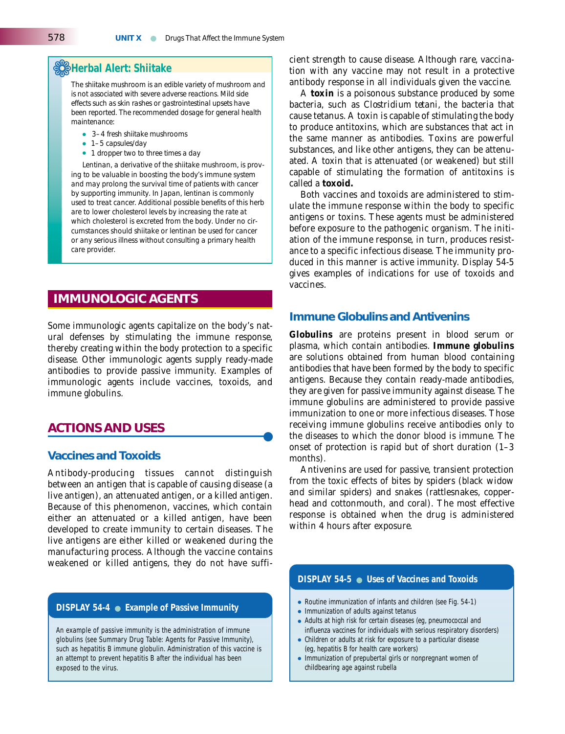## ❁**Herbal Alert: Shiitake**

*The shiitake mushroom is an edible variety of mushroom and is not associated with severe adverse reactions. Mild side effects such as skin rashes or gastrointestinal upsets have been reported. The recommended dosage for general health maintenance:*

- *3–4 fresh shiitake mushrooms*
- *1–5 capsules/day*
- *1 dropper two to three times a day*

*Lentinan, a derivative of the shiitake mushroom, is proving to be valuable in boosting the body's immune system and may prolong the survival time of patients with cancer by supporting immunity. In Japan, lentinan is commonly used to treat cancer. Additional possible benefits of this herb are to lower cholesterol levels by increasing the rate at which cholesterol is excreted from the body. Under no circumstances should shiitake or lentinan be used for cancer or any serious illness without consulting a primary health care provider.*

## **IMMUNOLOGIC AGENTS**

Some immunologic agents capitalize on the body's natural defenses by stimulating the immune response, thereby creating within the body protection to a specific disease. Other immunologic agents supply ready-made antibodies to provide passive immunity. Examples of immunologic agents include vaccines, toxoids, and immune globulins.

### **ACTIONS AND USES**

#### **Vaccines and Toxoids**

Antibody-producing tissues cannot distinguish between an antigen that is capable of causing disease (a live antigen), an attenuated antigen, or a killed antigen. Because of this phenomenon, vaccines, which contain either an attenuated or a killed antigen, have been developed to create immunity to certain diseases. The live antigens are either killed or weakened during the manufacturing process. Although the vaccine contains weakened or killed antigens, they do not have suffi-

#### **DISPLAY 54-4** ● **Example of Passive Immunity**

An example of passive immunity is the administration of immune globulins (see Summary Drug Table: Agents for Passive Immunity), such as hepatitis B immune globulin. Administration of this vaccine is an attempt to prevent hepatitis B after the individual has been exposed to the virus.

cient strength to cause disease. Although rare, vaccination with any vaccine may not result in a protective antibody response in all individuals given the vaccine.

A **toxin** is a poisonous substance produced by some bacteria, such as *Clostridium tetani,* the bacteria that cause tetanus. A toxin is capable of stimulating the body to produce antitoxins, which are substances that act in the same manner as antibodies. Toxins are powerful substances, and like other antigens, they can be attenuated. A toxin that is attenuated (or weakened) but still capable of stimulating the formation of antitoxins is called a **toxoid.**

Both vaccines and toxoids are administered to stimulate the immune response within the body to specific antigens or toxins. These agents must be administered before exposure to the pathogenic organism. The initiation of the immune response, in turn, produces resistance to a specific infectious disease. The immunity produced in this manner is active immunity. Display 54-5 gives examples of indications for use of toxoids and vaccines.

#### **Immune Globulins and Antivenins**

**Globulins** are proteins present in blood serum or plasma, which contain antibodies. **Immune globulins** are solutions obtained from human blood containing antibodies that have been formed by the body to specific antigens. Because they contain ready-made antibodies, they are given for passive immunity against disease. The immune globulins are administered to provide passive immunization to one or more infectious diseases. Those receiving immune globulins receive antibodies only to the diseases to which the donor blood is immune. The onset of protection is rapid but of short duration (1–3 months).

Antivenins are used for passive, transient protection from the toxic effects of bites by spiders (black widow and similar spiders) and snakes (rattlesnakes, copperhead and cottonmouth, and coral). The most effective response is obtained when the drug is administered within 4 hours after exposure.

#### **DISPLAY 54-5** ● **Uses of Vaccines and Toxoids**

- Routine immunization of infants and children (see Fig. 54-1)
- Immunization of adults against tetanus
- Adults at high risk for certain diseases (eg, pneumococcal and influenza vaccines for individuals with serious respiratory disorders)
- Children or adults at risk for exposure to a particular disease (eg, hepatitis B for health care workers)
- Immunization of prepubertal girls or nonpregnant women of childbearing age against rubella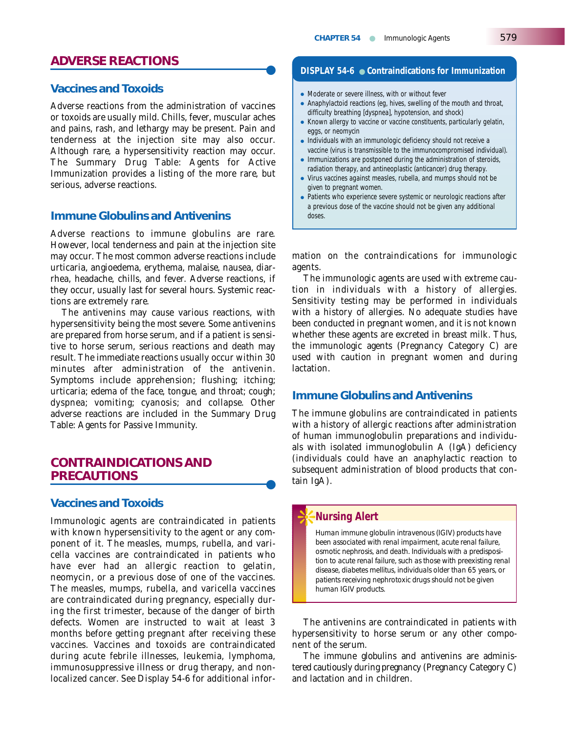## **ADVERSE REACTIONS** ●

#### **Vaccines and Toxoids**

Adverse reactions from the administration of vaccines or toxoids are usually mild. Chills, fever, muscular aches and pains, rash, and lethargy may be present. Pain and tenderness at the injection site may also occur. Although rare, a hypersensitivity reaction may occur. The Summary Drug Table: Agents for Active Immunization provides a listing of the more rare, but serious, adverse reactions.

#### **Immune Globulins and Antivenins**

Adverse reactions to immune globulins are rare. However, local tenderness and pain at the injection site may occur. The most common adverse reactions include urticaria, angioedema, erythema, malaise, nausea, diarrhea, headache, chills, and fever. Adverse reactions, if they occur, usually last for several hours. Systemic reactions are extremely rare.

The antivenins may cause various reactions, with hypersensitivity being the most severe. Some antivenins are prepared from horse serum, and if a patient is sensitive to horse serum, serious reactions and death may result. The immediate reactions usually occur within 30 minutes after administration of the antivenin. Symptoms include apprehension; flushing; itching; urticaria; edema of the face, tongue, and throat; cough; dyspnea; vomiting; cyanosis; and collapse. Other adverse reactions are included in the Summary Drug Table: Agents for Passive Immunity.

## **CONTRAINDICATIONS AND PRECAUTIONS**

#### **Vaccines and Toxoids**

Immunologic agents are contraindicated in patients with known hypersensitivity to the agent or any component of it. The measles, mumps, rubella, and varicella vaccines are contraindicated in patients who have ever had an allergic reaction to gelatin, neomycin, or a previous dose of one of the vaccines. The measles, mumps, rubella, and varicella vaccines are contraindicated during pregnancy, especially during the first trimester, because of the danger of birth defects. Women are instructed to wait at least 3 months before getting pregnant after receiving these vaccines. Vaccines and toxoids are contraindicated during acute febrile illnesses, leukemia, lymphoma, immunosuppressive illness or drug therapy, and nonlocalized cancer. See Display 54-6 for additional infor-

#### **DISPLAY 54-6** ● **Contraindications for Immunization**

- Moderate or severe illness, with or without fever
- Anaphylactoid reactions (eg, hives, swelling of the mouth and throat, difficulty breathing [dyspnea], hypotension, and shock)
- Known allergy to vaccine or vaccine constituents, particularly gelatin, eggs, or neomycin
- Individuals with an immunologic deficiency should not receive a vaccine (virus is transmissible to the immunocompromised individual).
- Immunizations are postponed during the administration of steroids, radiation therapy, and antineoplastic (anticancer) drug therapy.
- Virus vaccines against measles, rubella, and mumps should not be given to pregnant women.
- Patients who experience severe systemic or neurologic reactions after a previous dose of the vaccine should not be given any additional doses.

mation on the contraindications for immunologic agents.

The immunologic agents are used with extreme caution in individuals with a history of allergies. Sensitivity testing may be performed in individuals with a history of allergies. No adequate studies have been conducted in pregnant women, and it is not known whether these agents are excreted in breast milk. Thus, the immunologic agents (Pregnancy Category C) are used with caution in pregnant women and during lactation.

### **Immune Globulins and Antivenins**

The immune globulins are contraindicated in patients with a history of allergic reactions after administration of human immunoglobulin preparations and individuals with isolated immunoglobulin A (IgA) deficiency (individuals could have an anaphylactic reaction to subsequent administration of blood products that contain IgA).

#### ❊**Nursing Alert**

*Human immune globulin intravenous (IGIV) products have been associated with renal impairment, acute renal failure, osmotic nephrosis, and death. Individuals with a predisposition to acute renal failure, such as those with preexisting renal disease, diabetes mellitus, individuals older than 65 years, or patients receiving nephrotoxic drugs should not be given human IGIV products.*

The antivenins are contraindicated in patients with hypersensitivity to horse serum or any other component of the serum.

The immune globulins and antivenins are administered cautiously during pregnancy (Pregnancy Category C) and lactation and in children.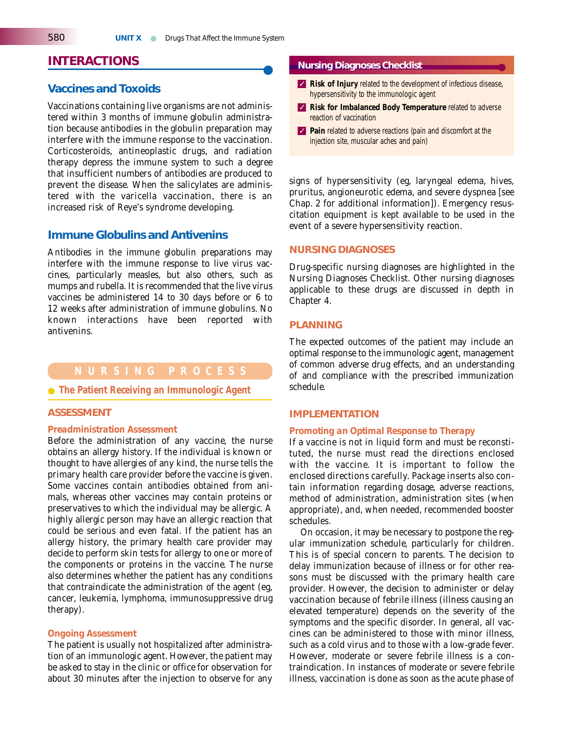## **INTERACTIONS**

#### **Vaccines and Toxoids**

Vaccinations containing live organisms are not administered within 3 months of immune globulin administration because antibodies in the globulin preparation may interfere with the immune response to the vaccination. Corticosteroids, antineoplastic drugs, and radiation therapy depress the immune system to such a degree that insufficient numbers of antibodies are produced to prevent the disease. When the salicylates are administered with the varicella vaccination, there is an increased risk of Reye's syndrome developing.

#### **Immune Globulins and Antivenins**

Antibodies in the immune globulin preparations may interfere with the immune response to live virus vaccines, particularly measles, but also others, such as mumps and rubella. It is recommended that the live virus vaccines be administered 14 to 30 days before or 6 to 12 weeks after administration of immune globulins. No known interactions have been reported with antivenins.

#### ● **The Patient Receiving an Immunologic Agent**

#### **ASSESSMENT**

#### *Preadministration Assessment*

Before the administration of any vaccine, the nurse obtains an allergy history. If the individual is known or thought to have allergies of any kind, the nurse tells the primary health care provider before the vaccine is given. Some vaccines contain antibodies obtained from animals, whereas other vaccines may contain proteins or preservatives to which the individual may be allergic. A highly allergic person may have an allergic reaction that could be serious and even fatal. If the patient has an allergy history, the primary health care provider may decide to perform skin tests for allergy to one or more of the components or proteins in the vaccine. The nurse also determines whether the patient has any conditions that contraindicate the administration of the agent (eg, cancer, leukemia, lymphoma, immunosuppressive drug therapy).

#### *Ongoing Assessment*

The patient is usually not hospitalized after administration of an immunologic agent. However, the patient may be asked to stay in the clinic or office for observation for about 30 minutes after the injection to observe for any

#### **Nursing Diagnoses Checklist**

- ✓ **Risk of Injury** related to the development of infectious disease, hypersensitivity to the immunologic agent
- ✓ **Risk for Imbalanced Body Temperature** related to adverse reaction of vaccination
- ✓ **Pain** related to adverse reactions (pain and discomfort at the injection site, muscular aches and pain)

signs of hypersensitivity (eg, laryngeal edema, hives, pruritus, angioneurotic edema, and severe dyspnea [see Chap. 2 for additional information]). Emergency resuscitation equipment is kept available to be used in the event of a severe hypersensitivity reaction.

#### **NURSING DIAGNOSES**

Drug-specific nursing diagnoses are highlighted in the Nursing Diagnoses Checklist. Other nursing diagnoses applicable to these drugs are discussed in depth in Chapter 4.

#### **PLANNING**

The expected outcomes of the patient may include an optimal response to the immunologic agent, management of common adverse drug effects, and an understanding of and compliance with the prescribed immunization schedule.

#### **IMPLEMENTATION**

#### *Promoting an Optimal Response to Therapy*

If a vaccine is not in liquid form and must be reconstituted, the nurse must read the directions enclosed with the vaccine. It is important to follow the enclosed directions carefully. Package inserts also contain information regarding dosage, adverse reactions, method of administration, administration sites (when appropriate), and, when needed, recommended booster schedules.

On occasion, it may be necessary to postpone the regular immunization schedule, particularly for children. This is of special concern to parents. The decision to delay immunization because of illness or for other reasons must be discussed with the primary health care provider. However, the decision to administer or delay vaccination because of febrile illness (illness causing an elevated temperature) depends on the severity of the symptoms and the specific disorder. In general, all vaccines can be administered to those with minor illness, such as a cold virus and to those with a low-grade fever. However, moderate or severe febrile illness is a contraindication. In instances of moderate or severe febrile illness, vaccination is done as soon as the acute phase of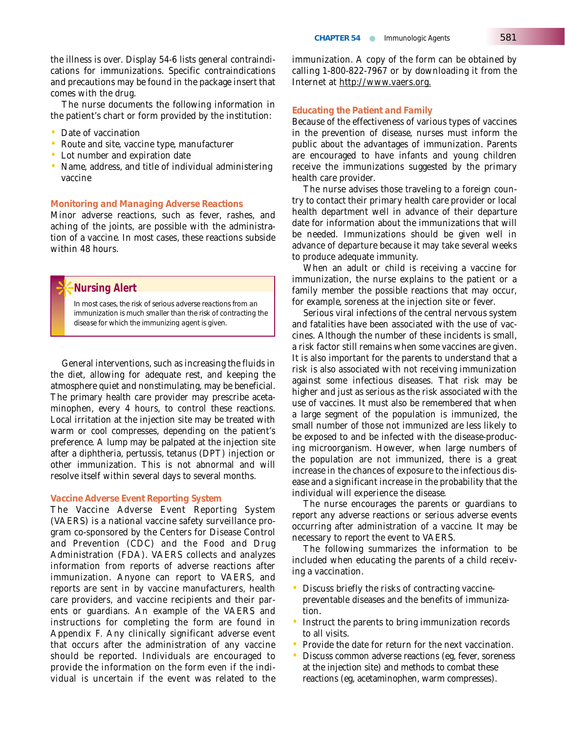the illness is over. Display 54-6 lists general contraindications for immunizations. Specific contraindications and precautions may be found in the package insert that comes with the drug.

The nurse documents the following information in the patient's chart or form provided by the institution:

- Date of vaccination
- Route and site, vaccine type, manufacturer
- Lot number and expiration date
- Name, address, and title of individual administering vaccine

#### *Monitoring and Managing Adverse Reactions*

Minor adverse reactions, such as fever, rashes, and aching of the joints, are possible with the administration of a vaccine. In most cases, these reactions subside within 48 hours.

#### ❊**Nursing Alert**

*In most cases, the risk of serious adverse reactions from an immunization is much smaller than the risk of contracting the disease for which the immunizing agent is given.* 

General interventions, such as increasing the fluids in the diet, allowing for adequate rest, and keeping the atmosphere quiet and nonstimulating, may be beneficial. The primary health care provider may prescribe acetaminophen, every 4 hours, to control these reactions. Local irritation at the injection site may be treated with warm or cool compresses, depending on the patient's preference. A lump may be palpated at the injection site after a diphtheria, pertussis, tetanus (DPT) injection or other immunization. This is not abnormal and will resolve itself within several days to several months.

#### *Vaccine Adverse Event Reporting System*

The Vaccine Adverse Event Reporting System (VAERS) is a national vaccine safety surveillance program co-sponsored by the Centers for Disease Control and Prevention (CDC) and the Food and Drug Administration (FDA). VAERS collects and analyzes information from reports of adverse reactions after immunization. Anyone can report to VAERS, and reports are sent in by vaccine manufacturers, health care providers, and vaccine recipients and their parents or guardians. An example of the VAERS and instructions for completing the form are found in Appendix F. Any clinically significant adverse event that occurs after the administration of any vaccine should be reported. Individuals are encouraged to provide the information on the form even if the individual is uncertain if the event was related to the immunization. A copy of the form can be obtained by calling 1-800-822-7967 or by downloading it from the Internet at http://www.vaers.org.

#### *Educating the Patient and Family*

Because of the effectiveness of various types of vaccines in the prevention of disease, nurses must inform the public about the advantages of immunization. Parents are encouraged to have infants and young children receive the immunizations suggested by the primary health care provider.

The nurse advises those traveling to a foreign country to contact their primary health care provider or local health department well in advance of their departure date for information about the immunizations that will be needed. Immunizations should be given well in advance of departure because it may take several weeks to produce adequate immunity.

When an adult or child is receiving a vaccine for immunization, the nurse explains to the patient or a family member the possible reactions that may occur, for example, soreness at the injection site or fever.

Serious viral infections of the central nervous system and fatalities have been associated with the use of vaccines. Although the number of these incidents is small, a risk factor still remains when some vaccines are given. It is also important for the parents to understand that a risk is also associated with not receiving immunization against some infectious diseases. That risk may be higher and just as serious as the risk associated with the use of vaccines. It must also be remembered that when a large segment of the population is immunized, the small number of those not immunized are less likely to be exposed to and be infected with the disease-producing microorganism. However, when large numbers of the population are not immunized, there is a great increase in the chances of exposure to the infectious disease and a significant increase in the probability that the individual will experience the disease.

The nurse encourages the parents or guardians to report any adverse reactions or serious adverse events occurring after administration of a vaccine. It may be necessary to report the event to VAERS.

The following summarizes the information to be included when educating the parents of a child receiving a vaccination.

- Discuss briefly the risks of contracting vaccinepreventable diseases and the benefits of immunization.
- Instruct the parents to bring immunization records to all visits.
- Provide the date for return for the next vaccination.
- Discuss common adverse reactions (eg, fever, soreness at the injection site) and methods to combat these reactions (eg, acetaminophen, warm compresses).